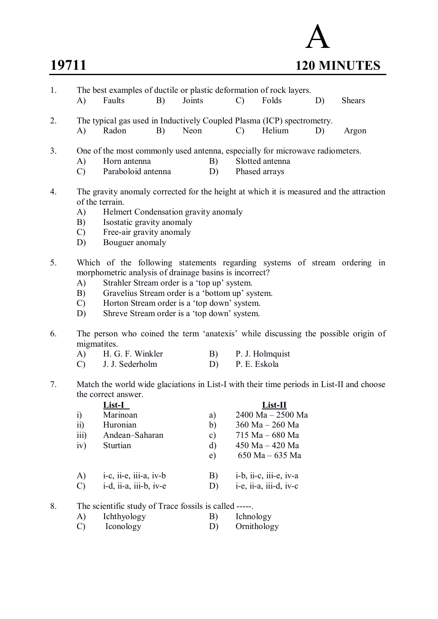

| 1. | A)                                                                                               | The best examples of ductile or plastic deformation of rock layers.<br>Faults              | B) | Joints |          | $\mathcal{C}$   | Folds                              | D) | <b>Shears</b> |  |  |  |
|----|--------------------------------------------------------------------------------------------------|--------------------------------------------------------------------------------------------|----|--------|----------|-----------------|------------------------------------|----|---------------|--|--|--|
|    |                                                                                                  |                                                                                            |    |        |          |                 |                                    |    |               |  |  |  |
| 2. |                                                                                                  | The typical gas used in Inductively Coupled Plasma (ICP) spectrometry.<br>Radon            | B) | Neon   |          |                 | Helium                             |    |               |  |  |  |
|    | A)                                                                                               |                                                                                            |    |        |          | $\mathcal{C}$ ) |                                    | D) | Argon         |  |  |  |
| 3. | One of the most commonly used antenna, especially for microwave radiometers.                     |                                                                                            |    |        |          |                 |                                    |    |               |  |  |  |
|    | $\bf{A}$                                                                                         | Horn antenna                                                                               |    |        | B)       |                 | Slotted antenna                    |    |               |  |  |  |
|    | $\mathcal{C}$                                                                                    | Paraboloid antenna                                                                         |    |        | D)       |                 | Phased arrays                      |    |               |  |  |  |
|    |                                                                                                  |                                                                                            |    |        |          |                 |                                    |    |               |  |  |  |
| 4. |                                                                                                  | The gravity anomaly corrected for the height at which it is measured and the attraction    |    |        |          |                 |                                    |    |               |  |  |  |
|    |                                                                                                  | of the terrain.<br>Helmert Condensation gravity anomaly                                    |    |        |          |                 |                                    |    |               |  |  |  |
|    | A)                                                                                               |                                                                                            |    |        |          |                 |                                    |    |               |  |  |  |
|    | B)<br>$\mathcal{C}$                                                                              | Isostatic gravity anomaly                                                                  |    |        |          |                 |                                    |    |               |  |  |  |
|    | D)                                                                                               | Free-air gravity anomaly<br>Bouguer anomaly                                                |    |        |          |                 |                                    |    |               |  |  |  |
|    |                                                                                                  |                                                                                            |    |        |          |                 |                                    |    |               |  |  |  |
| 5. |                                                                                                  | Which of the following statements regarding systems of stream ordering in                  |    |        |          |                 |                                    |    |               |  |  |  |
|    |                                                                                                  | morphometric analysis of drainage basins is incorrect?                                     |    |        |          |                 |                                    |    |               |  |  |  |
|    | A)                                                                                               | Strahler Stream order is a 'top up' system.                                                |    |        |          |                 |                                    |    |               |  |  |  |
|    | B)                                                                                               | Gravelius Stream order is a 'bottom up' system.                                            |    |        |          |                 |                                    |    |               |  |  |  |
|    | $\mathcal{C}$                                                                                    | Horton Stream order is a 'top down' system.<br>Shreve Stream order is a 'top down' system. |    |        |          |                 |                                    |    |               |  |  |  |
|    | D)                                                                                               |                                                                                            |    |        |          |                 |                                    |    |               |  |  |  |
| 6. | The person who coined the term 'anatexis' while discussing the possible origin of<br>migmatites. |                                                                                            |    |        |          |                 |                                    |    |               |  |  |  |
|    | $\bf{A}$                                                                                         | H. G. F. Winkler                                                                           |    |        | B)       |                 | P. J. Holmquist                    |    |               |  |  |  |
|    | $\mathcal{C}$                                                                                    | J. J. Sederholm                                                                            |    |        | D)       | P. E. Eskola    |                                    |    |               |  |  |  |
|    |                                                                                                  |                                                                                            |    |        |          |                 |                                    |    |               |  |  |  |
| 7. | Match the world wide glaciations in List-I with their time periods in List-II and choose         |                                                                                            |    |        |          |                 |                                    |    |               |  |  |  |
|    | the correct answer.                                                                              |                                                                                            |    |        |          |                 |                                    |    |               |  |  |  |
|    |                                                                                                  | <b>List-I</b>                                                                              |    |        |          |                 | $List-II$                          |    |               |  |  |  |
|    | $\ddot{1}$                                                                                       | Marinoan                                                                                   |    |        | a)       |                 | 2400 Ma - 2500 Ma                  |    |               |  |  |  |
|    | $\overline{11}$                                                                                  | Huronian                                                                                   |    |        | b)       |                 | 360 Ma - 260 Ma                    |    |               |  |  |  |
|    | iii)<br>iv)                                                                                      | Andean-Saharan<br>Sturtian                                                                 |    |        | c)<br>d) |                 | 715 Ma - 680 Ma<br>450 Ma - 420 Ma |    |               |  |  |  |
|    |                                                                                                  |                                                                                            |    |        | e)       |                 | 650 Ma - 635 Ma                    |    |               |  |  |  |
|    |                                                                                                  |                                                                                            |    |        |          |                 |                                    |    |               |  |  |  |
|    | A)                                                                                               | $i-c$ , ii-e, iii-a, iv-b                                                                  |    |        | B)       |                 | i-b, ii-c, iii-e, iv-a             |    |               |  |  |  |
|    | $\mathcal{C}$                                                                                    | i-d, ii-a, iii-b, iv-e                                                                     |    |        | D)       |                 | i-e, ii-a, iii-d, iv-c             |    |               |  |  |  |
|    |                                                                                                  |                                                                                            |    |        |          |                 |                                    |    |               |  |  |  |
| 8. |                                                                                                  | The scientific study of Trace fossils is called -----.                                     |    |        |          |                 |                                    |    |               |  |  |  |
|    | A)                                                                                               | Ichthyology                                                                                |    |        | B)       | Ichnology       |                                    |    |               |  |  |  |
|    | $\mathcal{C}$                                                                                    | Iconology                                                                                  |    |        | D)       |                 | Ornithology                        |    |               |  |  |  |
|    |                                                                                                  |                                                                                            |    |        |          |                 |                                    |    |               |  |  |  |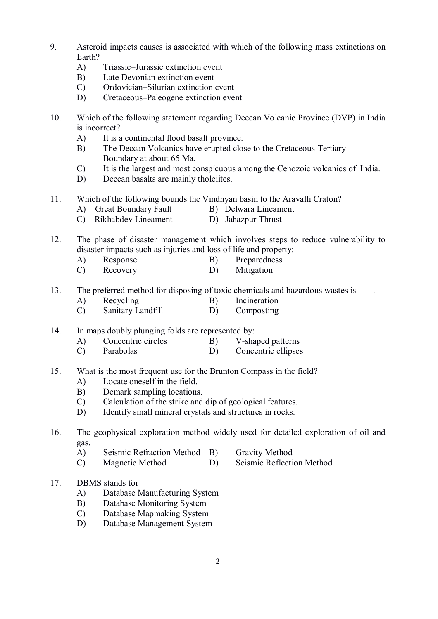- 9. Asteroid impacts causes is associated with which of the following mass extinctions on Earth?
	- A) Triassic–Jurassic extinction event
	- B) Late Devonian extinction event
	- C) Ordovician–Silurian extinction event
	- D) Cretaceous–Paleogene extinction event
- 10. Which of the following statement regarding Deccan Volcanic Province (DVP) in India is incorrect?
	- A) It is a continental flood basalt province.
	- B) The Deccan Volcanics have erupted close to the Cretaceous-Tertiary Boundary at about 65 Ma.
	- C) It is the largest and most conspicuous among the Cenozoic volcanics of India.
	- D) Deccan basalts are mainly tholeiites.
- 11. Which of the following bounds the Vindhyan basin to the Aravalli Craton?
	- A) Great Boundary Fault B) Delwara Lineament
	- C) Rikhabdev Lineament D) Jahazpur Thrust
- 12. The phase of disaster management which involves steps to reduce vulnerability to disaster impacts such as injuries and loss of life and property:
	- A) Response B) Preparedness
	- C) Recovery D) Mitigation
- 13. The preferred method for disposing of toxic chemicals and hazardous wastes is -----.
	- A) Recycling B) Incineration
	- C) Sanitary Landfill D) Composting
- 14. In maps doubly plunging folds are represented by:
	- A) Concentric circles B) V-shaped patterns
	- C) Parabolas D) Concentric ellipses
- 15. What is the most frequent use for the Brunton Compass in the field?
	- A) Locate oneself in the field.
	- B) Demark sampling locations.
	- C) Calculation of the strike and dip of geological features.
	- D) Identify small mineral crystals and structures in rocks.

- A) Seismic Refraction Method B) Gravity Method
- C) Magnetic Method D) Seismic Reflection Method
- 

- 17. DBMS stands for
	- A) Database Manufacturing System
	- B) Database Monitoring System
	- C) Database Mapmaking System
	- D) Database Management System

<sup>16.</sup> The geophysical exploration method widely used for detailed exploration of oil and gas.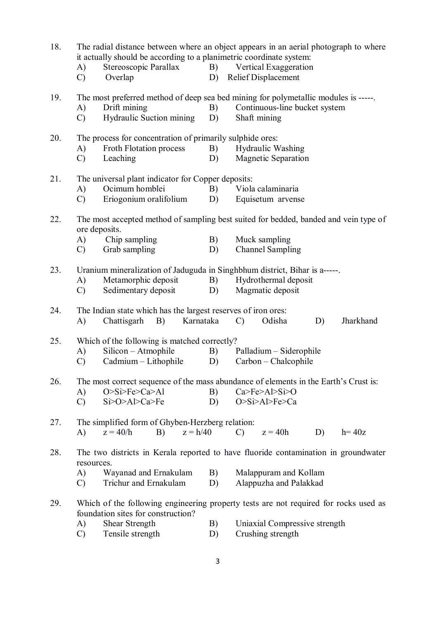| 18. | The radial distance between where an object appears in an aerial photograph to where<br>it actually should be according to a planimetric coordinate system:<br>Stereoscopic Parallax<br>B) Vertical Exaggeration<br>A)<br><b>Relief Displacement</b><br>Overlap<br>D)<br>$\mathcal{C}$ |                                                                                                                                                                                                                                    |           |                                                                                                                                      |               |        |    |           |  |  |
|-----|----------------------------------------------------------------------------------------------------------------------------------------------------------------------------------------------------------------------------------------------------------------------------------------|------------------------------------------------------------------------------------------------------------------------------------------------------------------------------------------------------------------------------------|-----------|--------------------------------------------------------------------------------------------------------------------------------------|---------------|--------|----|-----------|--|--|
| 19. | A)<br>$\mathcal{C}$                                                                                                                                                                                                                                                                    | Drift mining<br>Hydraulic Suction mining                                                                                                                                                                                           |           | The most preferred method of deep sea bed mining for polymetallic modules is -----.<br>Continuous-line bucket system<br>Shaft mining |               |        |    |           |  |  |
| 20. | A)<br>$\mathcal{C}$                                                                                                                                                                                                                                                                    | The process for concentration of primarily sulphide ores:<br><b>Froth Flotation process</b><br>B)<br><b>Hydraulic Washing</b><br>Leaching<br><b>Magnetic Separation</b><br>D)                                                      |           |                                                                                                                                      |               |        |    |           |  |  |
| 21. | A)<br>$\mathcal{C}$                                                                                                                                                                                                                                                                    | The universal plant indicator for Copper deposits:<br>Ocimum homblei<br>Eriogonium oralifolium                                                                                                                                     |           | Viola calaminaria<br>B)<br>D)<br>Equisetum arvense                                                                                   |               |        |    |           |  |  |
| 22. | The most accepted method of sampling best suited for bedded, banded and vein type of<br>ore deposits.<br>Chip sampling<br>Muck sampling<br>A)<br>B)<br>Grab sampling<br><b>Channel Sampling</b><br>$\mathcal{C}$<br>D)                                                                 |                                                                                                                                                                                                                                    |           |                                                                                                                                      |               |        |    |           |  |  |
| 23. | A)<br>$\mathcal{C}$                                                                                                                                                                                                                                                                    | Uranium mineralization of Jaduguda in Singhbhum district, Bihar is a-----.<br>Metamorphic deposit<br>B)<br>Hydrothermal deposit<br>Sedimentary deposit<br>Magmatic deposit<br>D)                                                   |           |                                                                                                                                      |               |        |    |           |  |  |
| 24. | A)                                                                                                                                                                                                                                                                                     | The Indian state which has the largest reserves of iron ores:<br>Chattisgarh<br>B)                                                                                                                                                 | Karnataka |                                                                                                                                      | $\mathcal{C}$ | Odisha | D) | Jharkhand |  |  |
| 25. | A)<br>$\mathcal{C}$                                                                                                                                                                                                                                                                    | Which of the following is matched correctly?<br>Silicon - Atmophile<br>B)<br>Palladium – Siderophile<br>Cadmium - Lithophile<br>Carbon - Chalcophile<br>D)                                                                         |           |                                                                                                                                      |               |        |    |           |  |  |
| 26. | A)<br>$\mathcal{C}$                                                                                                                                                                                                                                                                    | The most correct sequence of the mass abundance of elements in the Earth's Crust is:<br>O>Si>Fe>Ca>Al<br>B)<br>Ca > Fe > A > Si > O<br>Si>O>Al>Ca>Fe<br>D)<br>O>Si>Al>Fe>Ca                                                        |           |                                                                                                                                      |               |        |    |           |  |  |
| 27. | $\bf{A}$                                                                                                                                                                                                                                                                               | The simplified form of Ghyben-Herzberg relation:<br>$z = h/40$<br>$z = 40/h$<br>B)<br>$z = 40h$<br>D)<br>$h = 40z$<br>$\mathcal{C}$ )                                                                                              |           |                                                                                                                                      |               |        |    |           |  |  |
| 28. | A)<br>$\mathcal{C}$                                                                                                                                                                                                                                                                    | The two districts in Kerala reported to have fluoride contamination in groundwater<br>resources.<br>Wayanad and Ernakulam<br>B)<br>Malappuram and Kollam<br>Trichur and Ernakulam<br>Alappuzha and Palakkad<br>D)                  |           |                                                                                                                                      |               |        |    |           |  |  |
| 29. | A)<br>$\mathcal{C}$                                                                                                                                                                                                                                                                    | Which of the following engineering property tests are not required for rocks used as<br>foundation sites for construction?<br>Shear Strength<br>B)<br>Uniaxial Compressive strength<br>Crushing strength<br>Tensile strength<br>D) |           |                                                                                                                                      |               |        |    |           |  |  |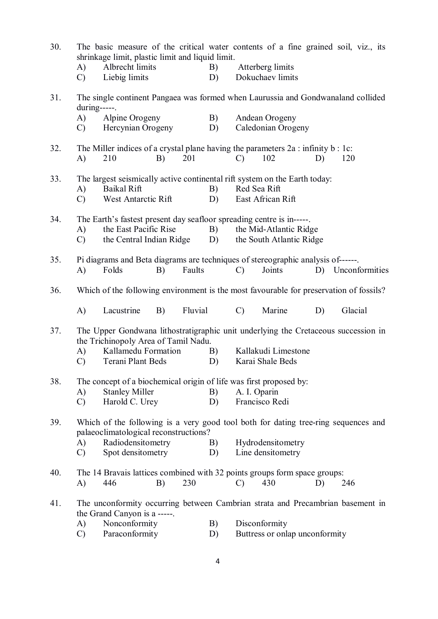| 30. |                                                                                                                             | shrinkage limit, plastic limit and liquid limit.                                                                           | The basic measure of the critical water contents of a fine grained soil, viz., its |         |    |                   |                                |    |                   |  |  |
|-----|-----------------------------------------------------------------------------------------------------------------------------|----------------------------------------------------------------------------------------------------------------------------|------------------------------------------------------------------------------------|---------|----|-------------------|--------------------------------|----|-------------------|--|--|
|     | A)                                                                                                                          | Albrecht limits                                                                                                            |                                                                                    |         | B) |                   | Atterberg limits               |    |                   |  |  |
|     | $\mathcal{C}$                                                                                                               | Liebig limits                                                                                                              |                                                                                    |         | D) |                   | Dokuchaev limits               |    |                   |  |  |
| 31. | $during$ -----.                                                                                                             | The single continent Pangaea was formed when Laurussia and Gondwanaland collided                                           |                                                                                    |         |    |                   |                                |    |                   |  |  |
|     | A)                                                                                                                          | Alpine Orogeny                                                                                                             |                                                                                    |         | B) |                   | Andean Orogeny                 |    |                   |  |  |
|     | C)                                                                                                                          | Hercynian Orogeny                                                                                                          |                                                                                    |         | D) |                   | Caledonian Orogeny             |    |                   |  |  |
| 32. | A)                                                                                                                          | The Miller indices of a crystal plane having the parameters $2a$ : infinity $b$ : 1c:<br>210                               | B)                                                                                 | 201     |    | $\mathcal{C}$     | 102                            | D) | 120               |  |  |
| 33. |                                                                                                                             | The largest seismically active continental rift system on the Earth today:                                                 |                                                                                    |         |    |                   |                                |    |                   |  |  |
|     | <b>Baikal Rift</b><br>A)                                                                                                    |                                                                                                                            |                                                                                    |         | B) |                   | Red Sea Rift                   |    |                   |  |  |
|     | $\mathcal{C}$                                                                                                               | West Antarctic Rift                                                                                                        |                                                                                    |         | D) |                   | East African Rift              |    |                   |  |  |
| 34. | The Earth's fastest present day seafloor spreading centre is in-----.<br>B)                                                 |                                                                                                                            |                                                                                    |         |    |                   |                                |    |                   |  |  |
|     | A)                                                                                                                          | the East Pacific Rise                                                                                                      |                                                                                    |         |    |                   | the Mid-Atlantic Ridge         |    |                   |  |  |
|     | $\mathcal{C}$                                                                                                               | the Central Indian Ridge                                                                                                   |                                                                                    |         | D) |                   | the South Atlantic Ridge       |    |                   |  |  |
| 35. |                                                                                                                             | Pi diagrams and Beta diagrams are techniques of stereographic analysis of------.                                           |                                                                                    |         |    |                   |                                |    |                   |  |  |
|     | A)                                                                                                                          | Folds                                                                                                                      | B)                                                                                 | Faults  |    | $\mathcal{C}$     | Joints                         |    | D) Unconformities |  |  |
| 36. |                                                                                                                             | Which of the following environment is the most favourable for preservation of fossils?                                     |                                                                                    |         |    |                   |                                |    |                   |  |  |
|     | $\bf{A}$                                                                                                                    | Lacustrine                                                                                                                 | B)                                                                                 | Fluvial |    | $\mathcal{C}$     | Marine                         | D) | Glacial           |  |  |
| 37. |                                                                                                                             | The Upper Gondwana lithostratigraphic unit underlying the Cretaceous succession in<br>the Trichinopoly Area of Tamil Nadu. |                                                                                    |         |    |                   |                                |    |                   |  |  |
|     | A)                                                                                                                          | Kallamedu Formation                                                                                                        |                                                                                    |         |    |                   | Kallakudi Limestone            |    |                   |  |  |
|     | $\mathcal{C}$                                                                                                               | Terani Plant Beds                                                                                                          |                                                                                    |         | D) |                   | Karai Shale Beds               |    |                   |  |  |
| 38. |                                                                                                                             | The concept of a biochemical origin of life was first proposed by:                                                         |                                                                                    |         |    |                   |                                |    |                   |  |  |
|     | $\mathbf{A}$                                                                                                                | <b>Stanley Miller</b>                                                                                                      |                                                                                    |         | B) |                   | A. I. Oparin                   |    |                   |  |  |
|     | $\mathcal{C}$                                                                                                               | Harold C. Urey                                                                                                             |                                                                                    |         | D) |                   | Francisco Redi                 |    |                   |  |  |
| 39. | Which of the following is a very good tool both for dating tree-ring sequences and<br>palaeoclimatological reconstructions? |                                                                                                                            |                                                                                    |         |    |                   |                                |    |                   |  |  |
|     | A)                                                                                                                          | Radiodensitometry                                                                                                          |                                                                                    |         | B) | Hydrodensitometry |                                |    |                   |  |  |
|     | $\mathcal{C}$                                                                                                               | Spot densitometry                                                                                                          |                                                                                    |         | D) |                   | Line densitometry              |    |                   |  |  |
| 40. |                                                                                                                             | The 14 Bravais lattices combined with 32 points groups form space groups:                                                  |                                                                                    |         |    |                   |                                |    |                   |  |  |
|     | A)                                                                                                                          | 446                                                                                                                        | B)                                                                                 | 230     |    | $\mathcal{C}$     | 430                            | D) | 246               |  |  |
| 41. |                                                                                                                             | The unconformity occurring between Cambrian strata and Precambrian basement in<br>the Grand Canyon is a -----.             |                                                                                    |         |    |                   |                                |    |                   |  |  |
|     | A)                                                                                                                          | Nonconformity                                                                                                              |                                                                                    |         | B) |                   | Disconformity                  |    |                   |  |  |
|     | $\mathcal{C}$                                                                                                               | Paraconformity                                                                                                             |                                                                                    |         | D) |                   | Buttress or onlap unconformity |    |                   |  |  |
|     |                                                                                                                             |                                                                                                                            |                                                                                    |         |    |                   |                                |    |                   |  |  |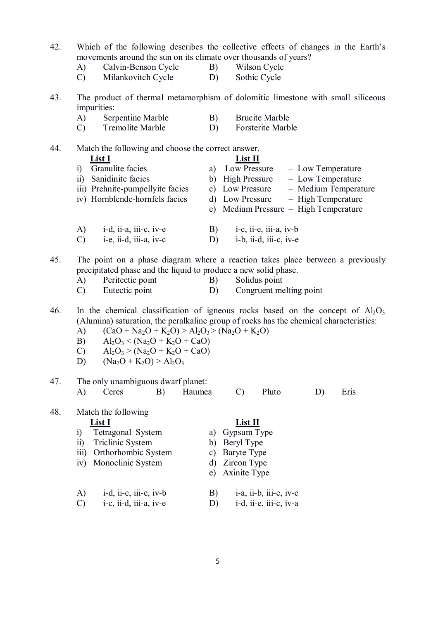- 42. Which of the following describes the collective effects of changes in the Earth's movements around the sun on its climate over thousands of years?
	- A) Calvin-Benson Cycle B) Wilson Cycle
		-
	- C) Milankovitch Cycle D) Sothic Cycle
- 43. The product of thermal metamorphism of dolomitic limestone with small siliceous impurities:
	- A) Serpentine Marble B) Brucite Marble
	- C) Tremolite Marble D) Forsterite Marble

44. Match the following and choose the correct answer.

- **List I List II** i) Granulite facies a) Low Pressure – Low Temperature ii) Sanidinite facies b) High Pressure – Low Temperature iii) Prehnite-pumpellyite facies c) Low Pressure – Medium Temperature iv) Hornblende-hornfels facies d) Low Pressure – High Temperature e) Medium Pressure – High Temperature A) i-d, ii-a, iii-c, iv-e B) i-c, ii-e, iii-a, iv-b
- C) i-e, ii-d, iii-a, iv-c D) i-b, ii-d, iii-c, iv-e

45. The point on a phase diagram where a reaction takes place between a previously precipitated phase and the liquid to produce a new solid phase.

- A) Peritectic point B) Solidus point
- C) Eutectic point D) Congruent melting point

46. In the chemical classification of igneous rocks based on the concept of  $A_2O_3$ (Alumina) saturation, the peralkaline group of rocks has the chemical characteristics:

- A)  $(CaO + Na<sub>2</sub>O + K<sub>2</sub>O) > Al<sub>2</sub>O<sub>3</sub> > (Na<sub>2</sub>O + K<sub>2</sub>O)$
- B)  $\text{Al}_2\text{O}_3 < (\text{Na}_2\text{O} + \text{K}_2\text{O} + \text{CaO})$
- C)  $Al_2O_3 > (Na_2O + K_2O + CaO)$
- D)  $(Na_2O + K_2O) > Al_2O_3$

## 47. The only unambiguous dwarf planet: A) Ceres B) Haumea C) Pluto D) Eris

48. Match the following **List I List II** i) Tetragonal System a) Gypsum Type

- ii) Triclinic System b) Beryl Type
- iii) Orthorhombic System c) Baryte Type<br>iv) Monoclinic System d) Zircon Type
- iv) Monoclinic System
	-
- A) i-d, ii-c, iii-e, iv-b B) i-a, ii-b, iii-e, iv-c
- C) i-c, ii-d, iii-a, iv-e D) i-d, ii-e, iii-c, iv-a
- 

e) Axinite Type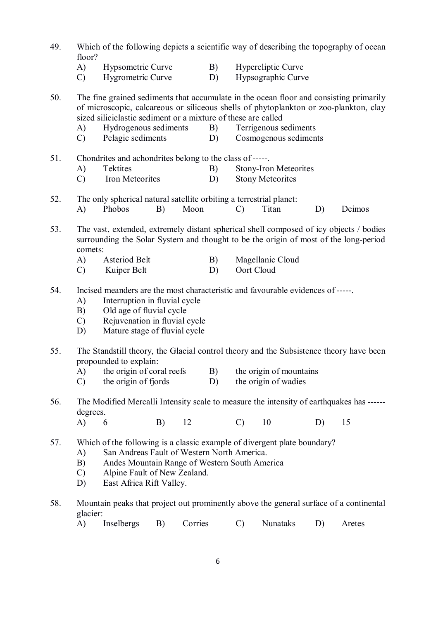| 49. | Which of the following depicts a scientific way of describing the topography of ocean<br>floor?                                                                                                                                                                         |                                                                                                                                                                                                                |    |          |                                                         |                                                                                                                                                                                                                                                                                                    |                                                 |    |                                                                                        |  |  |
|-----|-------------------------------------------------------------------------------------------------------------------------------------------------------------------------------------------------------------------------------------------------------------------------|----------------------------------------------------------------------------------------------------------------------------------------------------------------------------------------------------------------|----|----------|---------------------------------------------------------|----------------------------------------------------------------------------------------------------------------------------------------------------------------------------------------------------------------------------------------------------------------------------------------------------|-------------------------------------------------|----|----------------------------------------------------------------------------------------|--|--|
|     | A)<br>$\mathcal{C}$                                                                                                                                                                                                                                                     | Hypsometric Curve<br>Hygrometric Curve                                                                                                                                                                         |    |          | B)<br>D)                                                |                                                                                                                                                                                                                                                                                                    | Hypereliptic Curve<br>Hypsographic Curve        |    |                                                                                        |  |  |
| 50. | A)<br>$\mathcal{C}$                                                                                                                                                                                                                                                     | Hydrogenous sediments<br>Pelagic sediments                                                                                                                                                                     |    |          | B)<br>D)                                                | The fine grained sediments that accumulate in the ocean floor and consisting primarily<br>of microscopic, calcareous or siliceous shells of phytoplankton or zoo-plankton, clay<br>sized siliciclastic sediment or a mixture of these are called<br>Terrigenous sediments<br>Cosmogenous sediments |                                                 |    |                                                                                        |  |  |
| 51. | A)<br>$\mathcal{C}$                                                                                                                                                                                                                                                     | Chondrites and achondrites belong to the class of -----<br>Tektites<br>Iron Meteorites                                                                                                                         |    | B)<br>D) | <b>Stony-Iron Meteorites</b><br><b>Stony Meteorites</b> |                                                                                                                                                                                                                                                                                                    |                                                 |    |                                                                                        |  |  |
| 52. | A)                                                                                                                                                                                                                                                                      | The only spherical natural satellite orbiting a terrestrial planet:<br>Phobos<br>Moon<br>B)                                                                                                                    |    |          |                                                         | $\mathcal{C}$                                                                                                                                                                                                                                                                                      | Titan                                           | D) | Deimos                                                                                 |  |  |
| 53. | comets:                                                                                                                                                                                                                                                                 | surrounding the Solar System and thought to be the origin of most of the long-period                                                                                                                           |    |          |                                                         |                                                                                                                                                                                                                                                                                                    |                                                 |    | The vast, extended, extremely distant spherical shell composed of icy objects / bodies |  |  |
|     | A)<br>$\mathcal{C}$                                                                                                                                                                                                                                                     | Asteriod Belt<br>Kuiper Belt                                                                                                                                                                                   |    |          | B)<br>D)                                                | Oort Cloud                                                                                                                                                                                                                                                                                         | Magellanic Cloud                                |    |                                                                                        |  |  |
| 54. | A)<br>B)<br>$\mathcal{C}$<br>D)                                                                                                                                                                                                                                         | Incised meanders are the most characteristic and favourable evidences of -----.<br>Interruption in fluvial cycle<br>Old age of fluvial cycle<br>Rejuvenation in fluvial cycle<br>Mature stage of fluvial cycle |    |          |                                                         |                                                                                                                                                                                                                                                                                                    |                                                 |    |                                                                                        |  |  |
| 55. |                                                                                                                                                                                                                                                                         | propounded to explain:                                                                                                                                                                                         |    |          |                                                         |                                                                                                                                                                                                                                                                                                    |                                                 |    | The Standstill theory, the Glacial control theory and the Subsistence theory have been |  |  |
|     | A)<br>$\mathcal{C}$                                                                                                                                                                                                                                                     | the origin of coral reefs<br>the origin of fjords                                                                                                                                                              |    |          | B)<br>D)                                                |                                                                                                                                                                                                                                                                                                    | the origin of mountains<br>the origin of wadies |    |                                                                                        |  |  |
| 56. | degrees.                                                                                                                                                                                                                                                                |                                                                                                                                                                                                                |    |          |                                                         | The Modified Mercalli Intensity scale to measure the intensity of earthquakes has ------                                                                                                                                                                                                           |                                                 |    |                                                                                        |  |  |
|     | A)                                                                                                                                                                                                                                                                      | 6                                                                                                                                                                                                              | B) | 12       |                                                         | $\mathcal{C}$                                                                                                                                                                                                                                                                                      | 10                                              | D) | 15                                                                                     |  |  |
| 57. | Which of the following is a classic example of divergent plate boundary?<br>San Andreas Fault of Western North America.<br>A)<br>Andes Mountain Range of Western South America<br>B)<br>$\mathcal{C}$<br>Alpine Fault of New Zealand.<br>East Africa Rift Valley.<br>D) |                                                                                                                                                                                                                |    |          |                                                         |                                                                                                                                                                                                                                                                                                    |                                                 |    |                                                                                        |  |  |
| 58. | glacier:                                                                                                                                                                                                                                                                |                                                                                                                                                                                                                |    |          |                                                         |                                                                                                                                                                                                                                                                                                    |                                                 |    | Mountain peaks that project out prominently above the general surface of a continental |  |  |
|     | A)                                                                                                                                                                                                                                                                      | Inselbergs                                                                                                                                                                                                     | B) | Corries  |                                                         | $\mathcal{C}$                                                                                                                                                                                                                                                                                      | Nunataks                                        | D) | Aretes                                                                                 |  |  |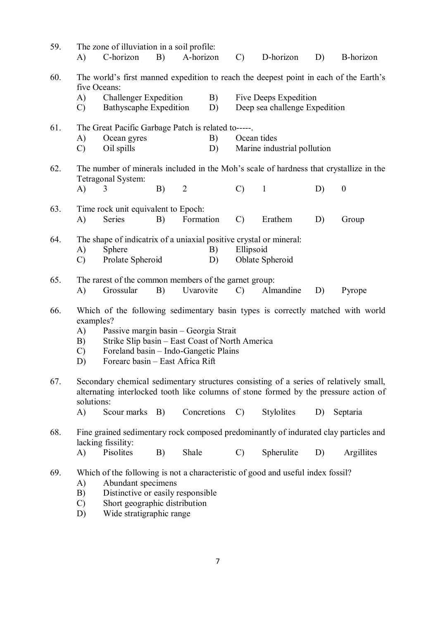| 59. | A)                                                                                                                                                                                                                                                                                                      | The zone of illuviation in a soil profile:<br>C-horizon                          | B) | A-horizon   |                                                                                                    | $\mathcal{C}$                              | D-horizon    | D) | <b>B-horizon</b> |  |
|-----|---------------------------------------------------------------------------------------------------------------------------------------------------------------------------------------------------------------------------------------------------------------------------------------------------------|----------------------------------------------------------------------------------|----|-------------|----------------------------------------------------------------------------------------------------|--------------------------------------------|--------------|----|------------------|--|
| 60. | The world's first manned expedition to reach the deepest point in each of the Earth's<br>five Oceans:<br><b>Challenger Expedition</b><br>B)<br>Five Deeps Expedition<br>A)<br><b>Bathyscaphe Expedition</b><br>Deep sea challenge Expedition<br>D)<br>$\mathcal{C}$                                     |                                                                                  |    |             |                                                                                                    |                                            |              |    |                  |  |
| 61. | A)<br>$\mathcal{C}$                                                                                                                                                                                                                                                                                     | The Great Pacific Garbage Patch is related to-----.<br>Ocean gyres<br>Oil spills |    |             | B)<br>D)                                                                                           | Ocean tides<br>Marine industrial pollution |              |    |                  |  |
| 62. | The number of minerals included in the Moh's scale of hardness that crystallize in the<br>Tetragonal System:<br>B)<br>$\overline{2}$<br>A)<br>3                                                                                                                                                         |                                                                                  |    |             |                                                                                                    | $\mathcal{C}$                              | $\mathbf{1}$ | D) | $\boldsymbol{0}$ |  |
| 63. | A)                                                                                                                                                                                                                                                                                                      | Time rock unit equivalent to Epoch:<br>Series                                    | B) | Formation   |                                                                                                    | $\mathcal{C}$                              | Erathem      | D) | Group            |  |
| 64. | A)<br>$\mathcal{C}$                                                                                                                                                                                                                                                                                     | Sphere<br>Prolate Spheroid                                                       |    | B)<br>D)    | The shape of indicatrix of a uniaxial positive crystal or mineral:<br>Ellipsoid<br>Oblate Spheroid |                                            |              |    |                  |  |
| 65. | A)                                                                                                                                                                                                                                                                                                      | The rarest of the common members of the garnet group:<br>Grossular               | B) | Uvarovite   |                                                                                                    | $\mathcal{C}$                              | Almandine    | D) | Pyrope           |  |
| 66. | Which of the following sedimentary basin types is correctly matched with world<br>examples?<br>Passive margin basin - Georgia Strait<br>A)<br>Strike Slip basin - East Coast of North America<br>B)<br>Foreland basin - Indo-Gangetic Plains<br>$\mathcal{C}$<br>Forearc basin - East Africa Rift<br>D) |                                                                                  |    |             |                                                                                                    |                                            |              |    |                  |  |
| 67. | Secondary chemical sedimentary structures consisting of a series of relatively small,<br>alternating interlocked tooth like columns of stone formed by the pressure action of<br>solutions:                                                                                                             |                                                                                  |    |             |                                                                                                    |                                            |              |    |                  |  |
|     | A)                                                                                                                                                                                                                                                                                                      | Scour marks B)                                                                   |    | Concretions |                                                                                                    | $\mathcal{C}$                              | Stylolites   | D) | Septaria         |  |
| 68. | Fine grained sedimentary rock composed predominantly of indurated clay particles and<br>lacking fissility:<br>Pisolites<br>A)<br>B)<br>Shale<br>Spherulite<br>$\mathcal{C}$<br>D)<br>Argillites                                                                                                         |                                                                                  |    |             |                                                                                                    |                                            |              |    |                  |  |
| 69. | Which of the following is not a characteristic of good and useful index fossil?<br>Abundant specimens<br>A)<br>Distinctive or easily responsible<br>B)<br>Short geographic distribution<br>$\mathcal{C}$<br>Wide stratigraphic range<br>D)                                                              |                                                                                  |    |             |                                                                                                    |                                            |              |    |                  |  |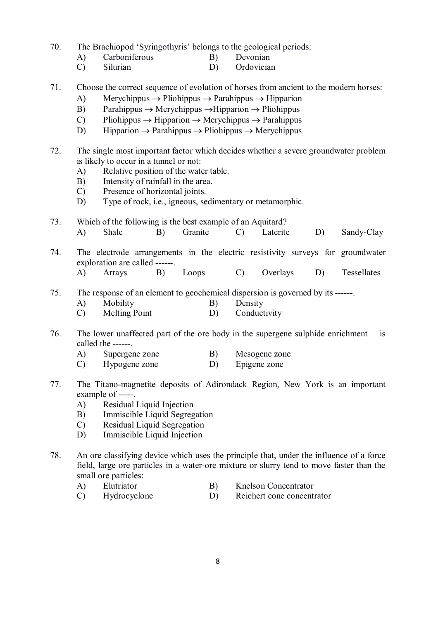70. The Brachiopod 'Syringothyris' belongs to the geological periods:

- A) Carboniferous B) Devonian
- C) Silurian D) Ordovician
- 71. Choose the correct sequence of evolution of horses from ancient to the modern horses:
	- A) Merychippus  $\rightarrow$  Pliohippus  $\rightarrow$  Parahippus  $\rightarrow$  Hipparion
	- B) Parahippus  $\rightarrow$  Merychippus  $\rightarrow$  Hipparion  $\rightarrow$  Pliohippus
	- C) Pliohippus  $\rightarrow$  Hipparion  $\rightarrow$  Merychippus  $\rightarrow$  Parahippus
	- D) Hipparion  $\rightarrow$  Parahippus  $\rightarrow$  Pliohippus  $\rightarrow$  Merychippus
- 72. The single most important factor which decides whether a severe groundwater problem is likely to occur in a tunnel or not:
	- A) Relative position of the water table.
	- B) Intensity of rainfall in the area.
	- C) Presence of horizontal joints.
	- D) Type of rock, i.e., igneous, sedimentary or metamorphic.
- 73. Which of the following is the best example of an Aquitard?<br>A) Shale B) Granite C) Laterite A) Shale B) Granite C) Laterite D) Sandy-Clay
- 74. The electrode arrangements in the electric resistivity surveys for groundwater exploration are called ------.
	- A) Arrays B) Loops C) Overlays D) Tessellates
- 75. The response of an element to geochemical dispersion is governed by its ------.
	- A) Mobility B) Density
	- C) Melting Point D) Conductivity
- 76. The lower unaffected part of the ore body in the supergene sulphide enrichment is called the ------.
	- A) Supergene zone B) Mesogene zone
	- C) Hypogene zone D) Epigene zone
- 77. The Titano-magnetite deposits of Adirondack Region, New York is an important example of -----.
	- A) Residual Liquid Injection
	- B) Immiscible Liquid Segregation
	- C) Residual Liquid Segregation
	- D) Immiscible Liquid Injection
- 78. An ore classifying device which uses the principle that, under the influence of a force field, large ore particles in a water-ore mixture or slurry tend to move faster than the small ore particles:
	- A) Elutriator B) Knelson Concentrator
	- C) Hydrocyclone D) Reichert cone concentrator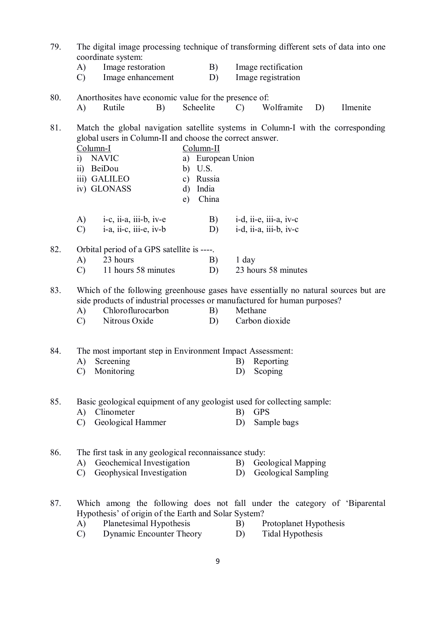| 79. | The digital image processing technique of transforming different sets of data into one<br>coordinate system:                                                                                                                                                           |                                                                                                                                                                                          |    |    |                                                                                  |               |                                                       |    |          |  |  |
|-----|------------------------------------------------------------------------------------------------------------------------------------------------------------------------------------------------------------------------------------------------------------------------|------------------------------------------------------------------------------------------------------------------------------------------------------------------------------------------|----|----|----------------------------------------------------------------------------------|---------------|-------------------------------------------------------|----|----------|--|--|
|     | A)                                                                                                                                                                                                                                                                     | Image restoration                                                                                                                                                                        |    | B) | Image rectification                                                              |               |                                                       |    |          |  |  |
|     | $\mathcal{C}$                                                                                                                                                                                                                                                          | Image enhancement                                                                                                                                                                        |    |    | D)                                                                               |               | Image registration                                    |    |          |  |  |
| 80. |                                                                                                                                                                                                                                                                        | Anorthosites have economic value for the presence of:                                                                                                                                    |    |    |                                                                                  |               |                                                       |    |          |  |  |
|     | A)                                                                                                                                                                                                                                                                     | Rutile                                                                                                                                                                                   | B) |    | Scheelite                                                                        | $\mathcal{C}$ | Wolframite                                            | D) | Ilmenite |  |  |
| 81. | global users in Column-II and choose the correct answer.<br>Column-I<br>$Column-II$<br>a) European Union<br><b>NAVIC</b><br>$\ddot{1}$<br>ii) BeiDou<br>b) $U.S.$<br>iii) GALILEO<br>Russia<br>$\mathbf{c})$<br>iv) GLONASS<br>India<br>d)<br>China<br>e)              |                                                                                                                                                                                          |    |    | Match the global navigation satellite systems in Column-I with the corresponding |               |                                                       |    |          |  |  |
|     | A)                                                                                                                                                                                                                                                                     | $i-c$ , $i$ <i>i</i> -a, $i$ <i>i</i> $i$ -b, $iv$ -e                                                                                                                                    |    |    | B)                                                                               |               | $i-d$ , $ii-e$ , $iii-a$ , $iv-c$                     |    |          |  |  |
|     | $\mathcal{C}$                                                                                                                                                                                                                                                          | $i-a$ , $ii-c$ , $iii-e$ , $iv-b$                                                                                                                                                        |    |    | D)                                                                               |               | $i-d$ , $ii-a$ , $iii-b$ , $iv-c$                     |    |          |  |  |
| 82. |                                                                                                                                                                                                                                                                        | Orbital period of a GPS satellite is ----.                                                                                                                                               |    |    |                                                                                  |               |                                                       |    |          |  |  |
|     | 23 hours<br>B)<br>A)                                                                                                                                                                                                                                                   |                                                                                                                                                                                          |    |    |                                                                                  | $1$ day       |                                                       |    |          |  |  |
|     | 23 hours 58 minutes<br>11 hours 58 minutes<br>D)<br>$\mathcal{C}$                                                                                                                                                                                                      |                                                                                                                                                                                          |    |    |                                                                                  |               |                                                       |    |          |  |  |
| 83. | Which of the following greenhouse gases have essentially no natural sources but are<br>side products of industrial processes or manufactured for human purposes?<br>Chloroflurocarbon<br>B)<br>Methane<br>A)<br>Nitrous Oxide<br>Carbon dioxide<br>D)<br>$\mathcal{C}$ |                                                                                                                                                                                          |    |    |                                                                                  |               |                                                       |    |          |  |  |
| 84. |                                                                                                                                                                                                                                                                        | The most important step in Environment Impact Assessment:                                                                                                                                |    |    |                                                                                  |               |                                                       |    |          |  |  |
|     | A)                                                                                                                                                                                                                                                                     | Screening                                                                                                                                                                                |    |    |                                                                                  | B)            | Reporting                                             |    |          |  |  |
|     | $\mathcal{C}$                                                                                                                                                                                                                                                          | Monitoring                                                                                                                                                                               |    |    |                                                                                  | D)            | Scoping                                               |    |          |  |  |
| 85. | Basic geological equipment of any geologist used for collecting sample:<br>Clinometer<br>A)<br>B)<br><b>GPS</b><br>Geological Hammer<br>D)<br>Sample bags<br>$\mathcal{C}$                                                                                             |                                                                                                                                                                                          |    |    |                                                                                  |               |                                                       |    |          |  |  |
|     |                                                                                                                                                                                                                                                                        |                                                                                                                                                                                          |    |    |                                                                                  |               |                                                       |    |          |  |  |
| 86. | The first task in any geological reconnaissance study:<br>Geochemical Investigation<br>A)<br>Geophysical Investigation<br>$\mathcal{C}$                                                                                                                                |                                                                                                                                                                                          |    |    |                                                                                  |               | B)<br>Geological Mapping<br>Geological Sampling<br>D) |    |          |  |  |
| 87. | A)<br>$\mathcal{C}$                                                                                                                                                                                                                                                    | Which among the following does not fall under the category of 'Biparental<br>Hypothesis' of origin of the Earth and Solar System?<br>Planetesimal Hypothesis<br>Dynamic Encounter Theory |    |    |                                                                                  | B)<br>D)      | Protoplanet Hypothesis<br>Tidal Hypothesis            |    |          |  |  |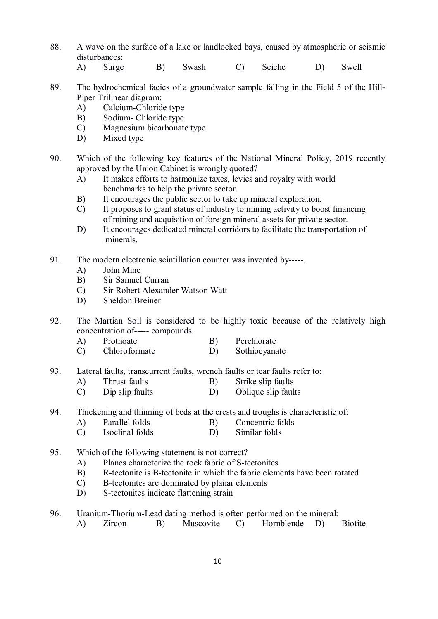- 88. A wave on the surface of a lake or landlocked bays, caused by atmospheric or seismic disturbances:
	- A) Surge B) Swash C) Seiche D) Swell
- 89. The hydrochemical facies of a groundwater sample falling in the Field 5 of the Hill-Piper Trilinear diagram:
	- A) Calcium-Chloride type
	- B) Sodium- Chloride type
	- C) Magnesium bicarbonate type
	- D) Mixed type
- 90. Which of the following key features of the National Mineral Policy, 2019 recently approved by the Union Cabinet is wrongly quoted?
	- A) It makes efforts to harmonize taxes, levies and royalty with world benchmarks to help the private sector.
	- B) It encourages the public sector to take up mineral exploration.
	- C) It proposes to grant status of industry to mining activity to boost financing of mining and acquisition of foreign mineral assets for private sector.
	- D) It encourages dedicated mineral corridors to facilitate the transportation of minerals.
- 91. The modern electronic scintillation counter was invented by-----.
	- A) John Mine
	- B) Sir Samuel Curran
	- C) Sir Robert Alexander Watson Watt
	- D) Sheldon Breiner
- 92. The Martian Soil is considered to be highly toxic because of the relatively high concentration of----- compounds.
	- A) Prothoate B) Perchlorate
	- C) Chloroformate D) Sothiocyanate
- 93. Lateral faults, transcurrent faults, wrench faults or tear faults refer to:
	- A) Thrust faults B) Strike slip faults
	- C) Dip slip faults D) Oblique slip faults
- 94. Thickening and thinning of beds at the crests and troughs is characteristic of:
	- A) Parallel folds B) Concentric folds<br>
	C) Isoclinal folds D) Similar folds
	- Isoclinal folds
- 95. Which of the following statement is not correct?
	- A) Planes characterize the rock fabric of S-tectonites
	- B) R-tectonite is B-tectonite in which the fabric elements have been rotated
	- C) B-tectonites are dominated by planar elements
	- D) S-tectonites indicate flattening strain
- 96. Uranium-Thorium-Lead dating method is often performed on the mineral:
	- A) Zircon B) Muscovite C) Hornblende D) Biotite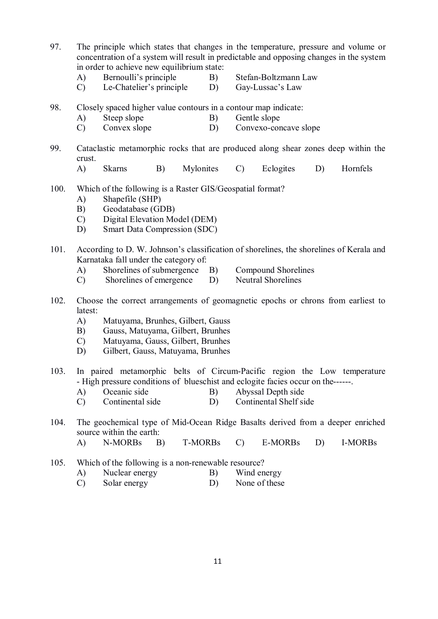97. The principle which states that changes in the temperature, pressure and volume or concentration of a system will result in predictable and opposing changes in the system in order to achieve new equilibrium state:

- A) Bernoulli's principle B) Stefan-Boltzmann Law
- C) Le-Chatelier's principle D) Gay-Lussac's Law
- 98. Closely spaced higher value contours in a contour map indicate:
	- A) Steep slope B) Gentle slope<br>
	C) Convex slope D) Convexo-cor
	- C) Convex slope D) Convexo-concave slope
- 99. Cataclastic metamorphic rocks that are produced along shear zones deep within the crust.
	- A) Skarns B) Mylonites C) Eclogites D) Hornfels
- 100. Which of the following is a Raster GIS/Geospatial format?
	- A) Shapefile (SHP)
	- B) Geodatabase (GDB)
	- C) Digital Elevation Model (DEM)
	- D) Smart Data Compression (SDC)
- 101. According to D. W. Johnson's classification of shorelines, the shorelines of Kerala and Karnataka fall under the category of:
	- A) Shorelines of submergence B) Compound Shorelines
	- C) Shorelines of emergence D) Neutral Shorelines
- 102. Choose the correct arrangements of geomagnetic epochs or chrons from earliest to latest:
	- A) Matuyama, Brunhes, Gilbert, Gauss
	- B) Gauss, Matuyama, Gilbert, Brunhes
	- C) Matuyama, Gauss, Gilbert, Brunhes
	- D) Gilbert, Gauss, Matuyama, Brunhes
- 103. In paired metamorphic belts of Circum-Pacific region the Low temperature - High pressure conditions of blueschist and eclogite facies occur on the------.
	- A) Oceanic side B) Abyssal Depth side
	- C) Continental side D) Continental Shelf side
- 104. The geochemical type of Mid-Ocean Ridge Basalts derived from a deeper enriched source within the earth:
	- A) N-MORBs B) T-MORBs C) E-MORBs D) I-MORBs
- 105. Which of the following is a non-renewable resource?
	- A) Nuclear energy B) Wind energy
	- C) Solar energy D) None of these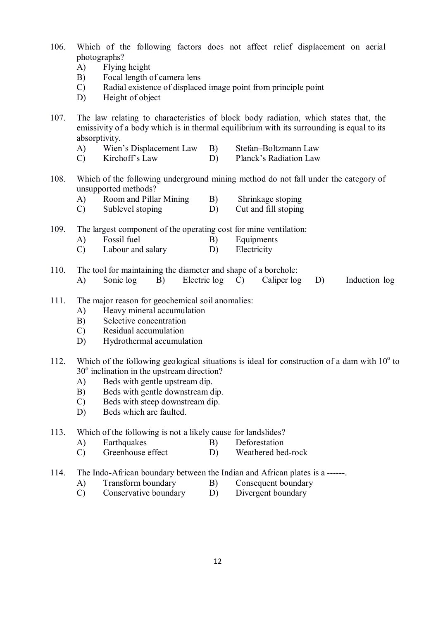- 106. Which of the following factors does not affect relief displacement on aerial photographs?
	- A) Flying height
	- B) Focal length of camera lens
	- C) Radial existence of displaced image point from principle point
	- D) Height of object
- 107. The law relating to characteristics of block body radiation, which states that, the emissivity of a body which is in thermal equilibrium with its surrounding is equal to its absorptivity.
	- A) Wien's Displacement Law B) Stefan–Boltzmann Law
	- C) Kirchoff's Law D) Planck's Radiation Law
- 108. Which of the following underground mining method do not fall under the category of unsupported methods?
	- A) Room and Pillar Mining B) Shrinkage stoping
	- C) Sublevel stoping D) Cut and fill stoping
- 109. The largest component of the operating cost for mine ventilation:
	- A) Fossil fuel B) Equipments
	- C) Labour and salary D) Electricity
- 110. The tool for maintaining the diameter and shape of a borehole:
	- A) Sonic log B) Electric log C) Caliper log D) Induction log
- 111. The major reason for geochemical soil anomalies:
	- A) Heavy mineral accumulation
	- B) Selective concentration
	- C) Residual accumulation
	- D) Hydrothermal accumulation
- 112. Which of the following geological situations is ideal for construction of a dam with  $10^{\circ}$  to 30<sup>°</sup> inclination in the upstream direction?
	- A) Beds with gentle upstream dip.
	- B) Beds with gentle downstream dip.
	- C) Beds with steep downstream dip.
	- D) Beds which are faulted.
- 113. Which of the following is not a likely cause for landslides?
	- A) Earthquakes B) Deforestation
	- C) Greenhouse effect D) Weathered bed-rock
- 114. The Indo-African boundary between the Indian and African plates is a ------.
	- A) Transform boundary B) Consequent boundary
	- C) Conservative boundary D) Divergent boundary